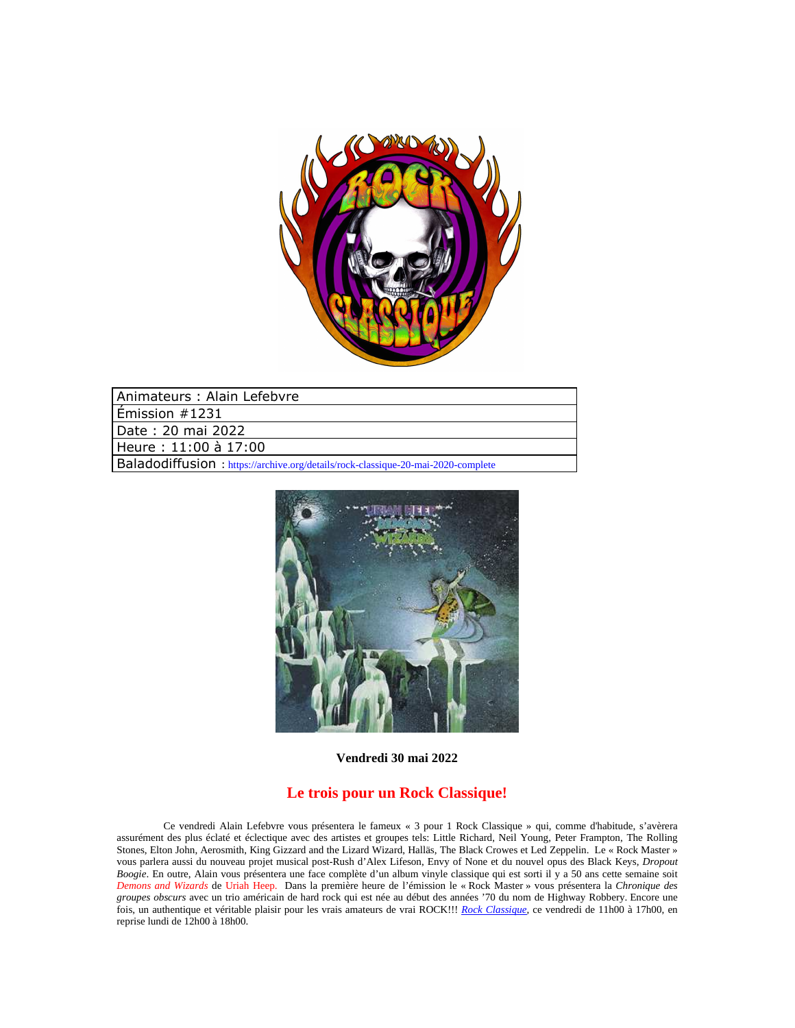

| Animateurs: Alain Lefebvre                                                        |
|-----------------------------------------------------------------------------------|
| $\mathsf{\bar{F}}$ mission #1231                                                  |
| l Date: 20 mai 2022                                                               |
| Heure: 11:00 à 17:00                                                              |
| Baladodiffusion : https://archive.org/details/rock-classique-20-mai-2020-complete |



**Vendredi 30 mai 2022**

## **Le trois pour un Rock Classique!**

Ce vendredi Alain Lefebvre vous présentera le fameux « 3 pour 1 Rock Classique » qui, comme d'habitude, s'avèrera assurément des plus éclaté et éclectique avec des artistes et groupes tels: Little Richard, Neil Young, Peter Frampton, The Rolling Stones, Elton John, Aerosmith, King Gizzard and the Lizard Wizard, Halläs, The Black Crowes et Led Zeppelin. Le « Rock Master » vous parlera aussi du nouveau projet musical post-Rush d'Alex Lifeson, Envy of None et du nouvel opus des Black Keys, *Dropout Boogie*. En outre, Alain vous présentera une face complète d'un album vinyle classique qui est sorti il y a 50 ans cette semaine soit *Demons and Wizards* de Uriah Heep. Dans la première heure de l'émission le « Rock Master » vous présentera la *Chronique des groupes obscurs* avec un trio américain de hard rock qui est née au début des années '70 du nom de Highway Robbery. Encore une fois, un authentique et véritable plaisir pour les vrais amateurs de vrai ROCK!!! *Rock Classique*, ce vendredi de 11h00 à 17h00, en reprise lundi de 12h00 à 18h00.